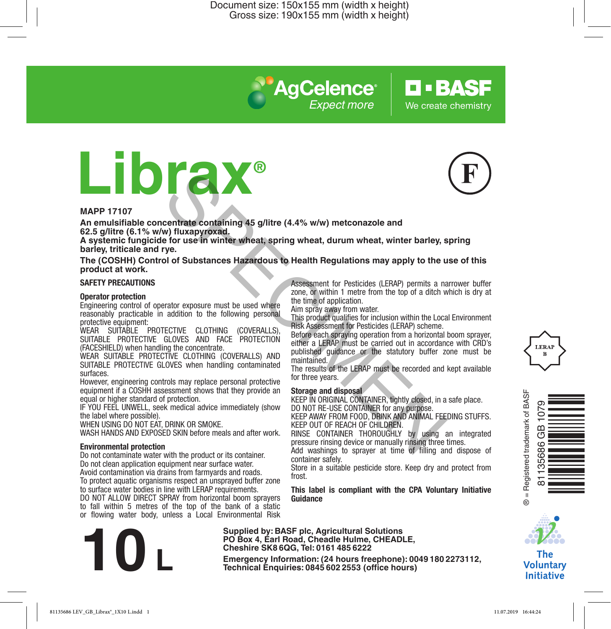> **AgCelence** *Expect more*

O • BASF We create chemistry





#### **MAPP 17107**

**An emulsifiable concentrate containing 45 g/litre (4.4% w/w) metconazole and 62.5 g/litre (6.1% w/w) fluxapyroxad. A systemic fungicide for use in winter wheat, spring wheat, durum wheat, winter barley, spring**  The production of Substances Hazardous to Health Regulations may apply to the university of a discussion of Substances Hazardous to Health Regulations may apply to the university one of Substances Hazardous to Health Regul

**barley, triticale and rye. The (COSHH) Control of Substances Hazardous to Health Regulations may apply to the use of this product at work.**

#### **SAFETY PRECAUTIONS**

#### **Operator protection**

Engineering control of operator exposure must be used where reasonably practicable in addition to the following personal protective equipment:

WEAR SUITABLE PROTECTIVE CLOTHING (COVERALLS), SUITABLE PROTECTIVE GLOVES AND FACE PROTECTION (FACESHIELD) when handling the concentrate.

WEAR SUITABLE PROTECTIVE CLOTHING (COVERALLS) AND SUITABLE PROTECTIVE GLOVES when handling contaminated surfaces.

However, engineering controls may replace personal protective equipment if a COSHH assessment shows that they provide an equal or higher standard of protection.

IF YOU FEEL UNWELL, seek medical advice immediately (show the label where possible).

WHEN USING DO NOT EAT, DRINK OR SMOKE.

WASH HANDS AND EXPOSED SKIN before meals and after work.

#### **Environmental protection**

Do not contaminate water with the product or its container. Do not clean application equipment near surface water. Avoid contamination via drains from farmyards and roads. To protect aquatic organisms respect an unsprayed buffer zone to surface water bodies in line with LERAP requirements. DO NOT ALLOW DIRECT SPRAY from horizontal boom sprayers to fall within 5 metres of the top of the bank of a static or flowing water body, unless a Local Environmental Risk

Assessment for Pesticides (LERAP) permits a narrower buffer zone, or within 1 metre from the top of a ditch which is dry at the time of application.

Aim spray away from water.

This product qualifies for inclusion within the Local Environment Risk Assessment for Pesticides (LERAP) scheme.

Before each spraying operation from a horizontal boom sprayer, either a LERAP must be carried out in accordance with CRD's published guidance or the statutory buffer zone must be maintained.

The results of the LERAP must be recorded and kept available for three years.

#### **Storage and disposal**

KEEP IN ORIGINAL CONTAINER, tightly closed, in a safe place. DO NOT RE-USE CONTAINER for any purpose.

KEEP AWAY FROM FOOD, DRINK AND ANIMAL FEEDING STUFFS. KEEP OUT OF REACH OF CHILDREN.

RINSE CONTAINER THOROUGHLY by using an integrated pressure rinsing device or manually rinsing three times.

Add washings to sprayer at time of filling and dispose of container safely.

Store in a suitable pesticide store. Keep dry and protect from frost.

#### **This label is compliant with the CPA Voluntary Initiative Guidance**



**Supplied by: BASF plc, Agricultural Solutions PO Box 4, Earl Road, Cheadle Hulme, CHEADLE, Cheshire SK8 6QG, Tel: 0161 485 6222**

**Example 19:** Box 4, Earl Road, Cheadle Hulme, CHEADLE,<br>
Cheshire SK8 6QG, Tel: 0161 485 6222<br>
Emergency Information: (24 hours freephone): 0049 180 2273112,<br>
Technical Enquiries: 0845 602 2553 (office hours)







The **Voluntary Initiative**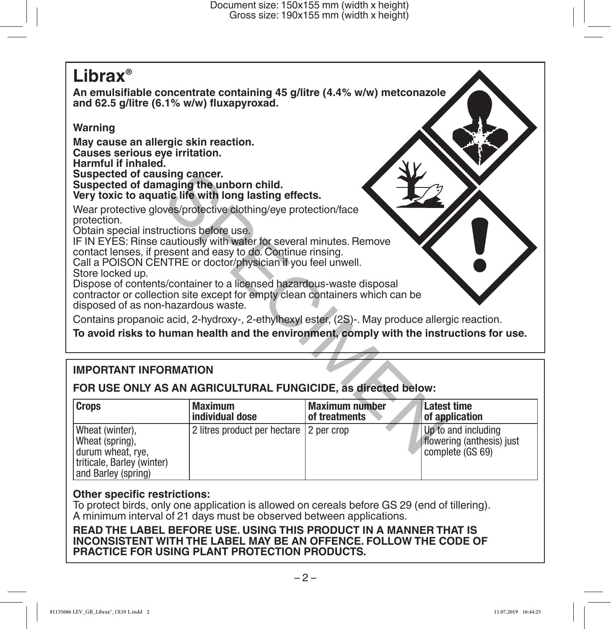# **Librax®**

**An emulsifiable concentrate containing 45 g/litre (4.4% w/w) metconazole and 62.5 g/litre (6.1% w/w) fluxapyroxad.** 

# **Warning**

**May cause an allergic skin reaction. Causes serious eye irritation. Harmful if inhaled. Suspected of causing cancer. Suspected of damaging the unborn child. Very toxic to aquatic life with long lasting effects.**

# **IMPORTANT INFORMATION**

# **FOR USE ONLY AS AN AGRICULTURAL FUNGICIDE, as directed below:**

| Suspected of causing cancer.<br>Suspected of damaging the unborn child.<br>Very toxic to aquatic life with long lasting effects.                                                                                                                                                                                                                                                                                                                                                                                                                   |                                   |                                        |                                                                      |  |  |  |  |  |  |  |
|----------------------------------------------------------------------------------------------------------------------------------------------------------------------------------------------------------------------------------------------------------------------------------------------------------------------------------------------------------------------------------------------------------------------------------------------------------------------------------------------------------------------------------------------------|-----------------------------------|----------------------------------------|----------------------------------------------------------------------|--|--|--|--|--|--|--|
| Wear protective gloves/protective clothing/eye protection/face<br>protection.<br>Obtain special instructions before use.<br>IF IN EYES: Rinse cautiously with water for several minutes. Remove<br>contact lenses, if present and easy to do. Continue rinsing.<br>Call a POISON CENTRE or doctor/physician if you feel unwell.<br>Store locked up.<br>Dispose of contents/container to a licensed hazardous-waste disposal<br>contractor or collection site except for empty clean containers which can be<br>disposed of as non-hazardous waste. |                                   |                                        |                                                                      |  |  |  |  |  |  |  |
| Contains propanoic acid, 2-hydroxy-, 2-ethylhexyl ester, (2S)-. May produce allergic reaction.                                                                                                                                                                                                                                                                                                                                                                                                                                                     |                                   |                                        |                                                                      |  |  |  |  |  |  |  |
| To avoid risks to human health and the environment, comply with the instructions for use.                                                                                                                                                                                                                                                                                                                                                                                                                                                          |                                   |                                        |                                                                      |  |  |  |  |  |  |  |
| <b>IMPORTANT INFORMATION</b>                                                                                                                                                                                                                                                                                                                                                                                                                                                                                                                       |                                   |                                        |                                                                      |  |  |  |  |  |  |  |
| FOR USE ONLY AS AN AGRICULTURAL FUNGICIDE, as directed below:                                                                                                                                                                                                                                                                                                                                                                                                                                                                                      |                                   |                                        |                                                                      |  |  |  |  |  |  |  |
| <b>Crops</b>                                                                                                                                                                                                                                                                                                                                                                                                                                                                                                                                       | <b>Maximum</b><br>individual dose | <b>Maximum number</b><br>of treatments | Latest time<br>of application                                        |  |  |  |  |  |  |  |
| Wheat (winter),<br>Wheat (spring),<br>durum wheat, rye,<br>triticale, Barley (winter)<br>and Barley (spring)                                                                                                                                                                                                                                                                                                                                                                                                                                       | 2 litres product per hectare      | 2 per crop                             | Up to and including<br>flowering (anthesis) just<br>complete (GS 69) |  |  |  |  |  |  |  |

# **Other specific restrictions:**

To protect birds, only one application is allowed on cereals before GS 29 (end of tillering). A minimum interval of 21 days must be observed between applications.

## **READ THE LABEL BEFORE USE. USING THIS PRODUCT IN A MANNER THAT IS INCONSISTENT WITH THE LABEL MAY BE AN OFFENCE. FOLLOW THE CODE OF PRACTICE FOR USING PLANT PROTECTION PRODUCTS.**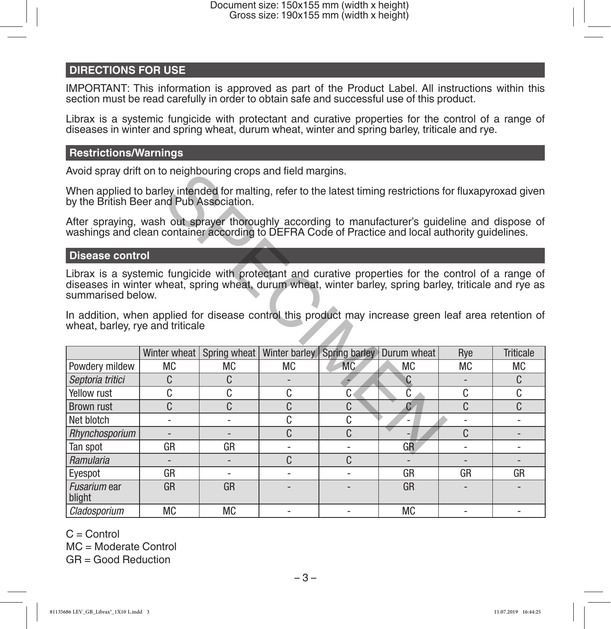# **DIRECTIONS FOR USE**

IMPORTANT: This information is approved as part of the Product Label. All instructions within this section must be read carefully in order to obtain safe and successful use of this product.

Librax is a systemic fungicide with protectant and curative properties for the control of a range of diseases in winter and spring wheat, durum wheat, winter and spring barley, triticale and rye.

## **Restrictions/Warnings**

Avoid spray drift on to neighbouring crops and field margins.

## **Disease control**

| Avoid spray drill on to heighbouring crops and lield margins.                                                                                                                                                                        |                          |                          |                             |                          |              |           |                  |  |  |
|--------------------------------------------------------------------------------------------------------------------------------------------------------------------------------------------------------------------------------------|--------------------------|--------------------------|-----------------------------|--------------------------|--------------|-----------|------------------|--|--|
| When applied to barley intended for malting, refer to the latest timing restrictions for fluxapyroxad given<br>by the British Beer and Pub Association.                                                                              |                          |                          |                             |                          |              |           |                  |  |  |
| After spraying, wash out sprayer thoroughly according to manufacturer's guideline and dispose of<br>washings and clean container according to DEFRA Code of Practice and local authority guidelines.                                 |                          |                          |                             |                          |              |           |                  |  |  |
| <b>Disease control</b>                                                                                                                                                                                                               |                          |                          |                             |                          |              |           |                  |  |  |
| Librax is a systemic fungicide with protectant and curative properties for the control of a range of<br>diseases in winter wheat, spring wheat, durum wheat, winter barley, spring barley, triticale and rye as<br>summarised below. |                          |                          |                             |                          |              |           |                  |  |  |
| In addition, when applied for disease control this product may increase green leaf area retention of<br>wheat, barley, rye and triticale                                                                                             |                          |                          |                             |                          |              |           |                  |  |  |
|                                                                                                                                                                                                                                      | Winter wheat             | Spring wheat             | Winter barley Spring barley |                          | Durum wheat  | Rye       | <b>Triticale</b> |  |  |
| Powdery mildew                                                                                                                                                                                                                       | <b>MC</b>                | МC                       | <b>MC</b>                   | <b>MC</b>                | МC           | <b>MC</b> | <b>MC</b>        |  |  |
| Septoria tritici                                                                                                                                                                                                                     | C                        | C                        |                             |                          |              |           | C                |  |  |
| Yellow rust                                                                                                                                                                                                                          | C                        | C                        | C                           | C                        |              | C         | C                |  |  |
| <b>Brown rust</b>                                                                                                                                                                                                                    | C                        | C                        | C                           | C                        | $\mathbf{C}$ | C         | C                |  |  |
| Net blotch                                                                                                                                                                                                                           |                          |                          | C                           | C                        |              |           |                  |  |  |
| Rhynchosporium                                                                                                                                                                                                                       |                          |                          | C                           | C                        |              | C         |                  |  |  |
| Tan spot                                                                                                                                                                                                                             | GR                       | GR                       |                             |                          | GR           |           |                  |  |  |
| Ramularia                                                                                                                                                                                                                            | $\overline{\phantom{0}}$ |                          | C                           | C                        |              |           |                  |  |  |
| Eyespot                                                                                                                                                                                                                              | GR                       | $\overline{\phantom{a}}$ | $\overline{\phantom{a}}$    | $\overline{\phantom{0}}$ | GR           | GR        | GR               |  |  |
| Fusarium ear<br>blight                                                                                                                                                                                                               | GR                       | GR                       |                             |                          | GR           |           |                  |  |  |
| Cladosporium                                                                                                                                                                                                                         | МC                       | МC                       |                             |                          | MC           |           |                  |  |  |

C = Control MC = Moderate Control GR = Good Reduction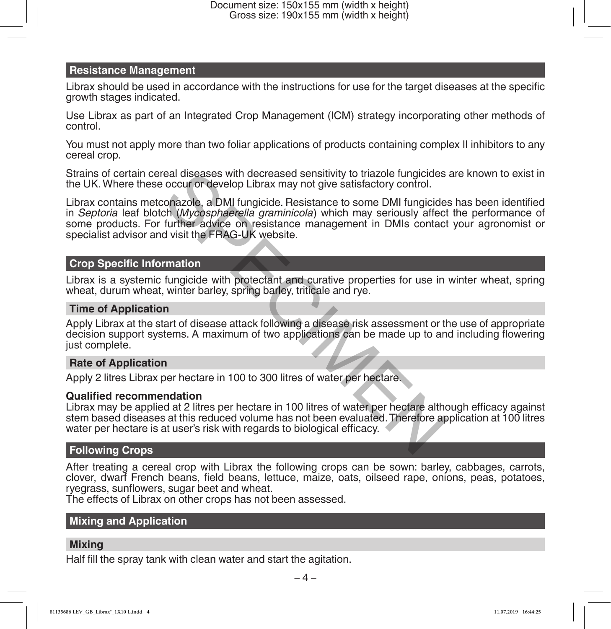#### **Resistance Management**

Librax should be used in accordance with the instructions for use for the target diseases at the specific growth stages indicated.

Use Librax as part of an Integrated Crop Management (ICM) strategy incorporating other methods of control.

You must not apply more than two foliar applications of products containing complex II inhibitors to any cereal crop.

Strains of certain cereal diseases with decreased sensitivity to triazole fungicides are known to exist in the UK. Where these occur or develop Librax may not give satisfactory control.

Librax contains metconazole, a DMI fungicide. Resistance to some DMI fungicides has been identified in *Septoria* leaf blotch (*Mycosphaerella graminicola*) which may seriously affect the performance of some products. For further advice on resistance management in DMIs contact your agronomist or specialist advisor and visit the FRAG-UK website. real diseases with decreased sensitivity to triazole fungicides<br>occur or develop Librax may not give satisfactory control.<br>conazole, a DMI fungicide. Resistance to some DMI fungicide<br>ch (Mycosphaerella graminicola) which m

# **Crop Specific Information**

Librax is a systemic fungicide with protectant and curative properties for use in winter wheat, spring wheat, durum wheat, winter barley, spring barley, triticale and rye.

## **Time of Application**

Apply Librax at the start of disease attack following a disease risk assessment or the use of appropriate decision support systems. A maximum of two applications can be made up to and including flowering just complete.

## **Rate of Application**

Apply 2 litres Librax per hectare in 100 to 300 litres of water per hectare.

## **Qualified recommendation**

Librax may be applied at 2 litres per hectare in 100 litres of water per hectare although efficacy against stem based diseases at this reduced volume has not been evaluated. Therefore application at 100 litres water per hectare is at user's risk with regards to biological efficacy.

## **Following Crops**

After treating a cereal crop with Librax the following crops can be sown: barley, cabbages, carrots, clover, dwarf French beans, field beans, lettuce, maize, oats, oilseed rape, onions, peas, potatoes, ryegrass, sunflowers, sugar beet and wheat.

The effects of Librax on other crops has not been assessed.

## **Mixing and Application**

## **Mixing**

Half fill the spray tank with clean water and start the agitation.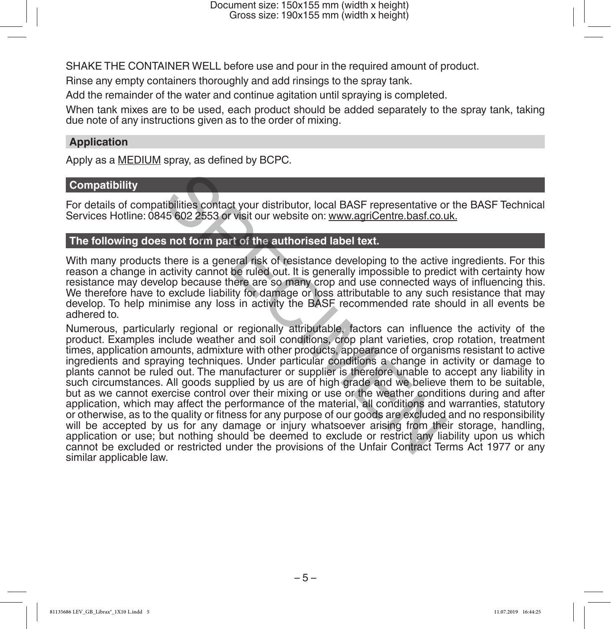SHAKE THE CONTAINER WELL before use and pour in the required amount of product.

Rinse any empty containers thoroughly and add rinsings to the spray tank.

Add the remainder of the water and continue agitation until spraying is completed.

When tank mixes are to be used, each product should be added separately to the spray tank, taking due note of any instructions given as to the order of mixing.

#### **Application**

Apply as a MEDIUM spray, as defined by BCPC.

## **Compatibility**

For details of compatibilities contact your distributor, local BASF representative or the BASF Technical Services Hotline: 0845 602 2553 or visit our website on: www.agriCentre.basf.co.uk.

## **The following does not form part of the authorised label text.**

With many products there is a general risk of resistance developing to the active ingredients. For this reason a change in activity cannot be ruled out. It is generally impossible to predict with certainty how resistance may develop because there are so many crop and use connected ways of influencing this. We therefore have to exclude liability for damage or loss attributable to any such resistance that may develop. To help minimise any loss in activity the BASF recommended rate should in all events be adhered to.

Numerous, particularly regional or regionally attributable, factors can influence the activity of the product. Examples include weather and soil conditions, crop plant varieties, crop rotation, treatment times, application amounts, admixture with other products, appearance of organisms resistant to active ingredients and spraying techniques. Under particular conditions a change in activity or damage to plants cannot be ruled out. The manufacturer or supplier is therefore unable to accept any liability in such circumstances. All goods supplied by us are of high grade and we believe them to be suitable, but as we cannot exercise control over their mixing or use or the weather conditions during and after application, which may affect the performance of the material, all conditions and warranties, statutory or otherwise, as to the quality or fitness for any purpose of our goods are excluded and no responsibility will be accepted by us for any damage or injury whatsoever arising from their storage, handling, application or use; but nothing should be deemed to exclude or restrict any liability upon us which cannot be excluded or restricted under the provisions of the Unfair Contract Terms Act 1977 or any similar applicable law. tibilities contact your distributor, local BASF representative of<br>45 602 2553 or visit our website on: www.agriCentre.basf.co.u<br>s not form part of the authorised label text.<br>there is a general risk of resistance developing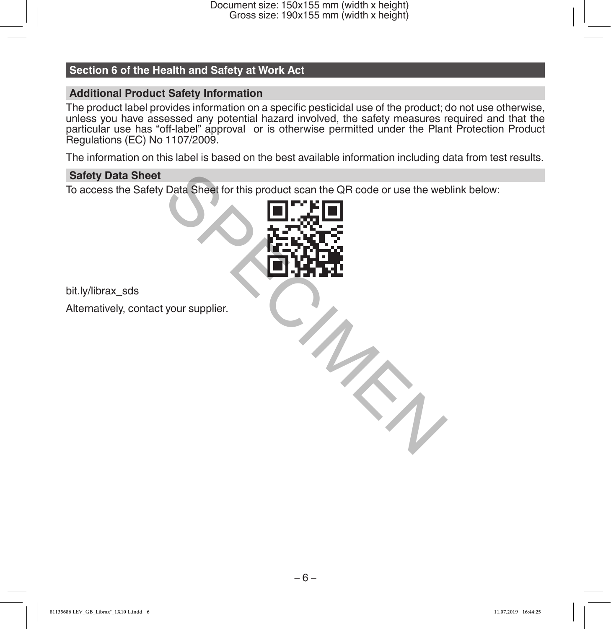## **Section 6 of the Health and Safety at Work Act**

## **Additional Product Safety Information**

The product label provides information on a specific pesticidal use of the product; do not use otherwise, unless you have assessed any potential hazard involved, the safety measures required and that the particular use has "off-label" approval or is otherwise permitted under the Plant Protection Product Regulations (EC) No 1107/2009.

The information on this label is based on the best available information including data from test results.

## **Safety Data Sheet**

To access the Safety Data Sheet for this product scan the QR code or use the weblink below:



 $z_{\uparrow}$ 

bit.ly/librax\_sds

Alternatively, contact your supplier.